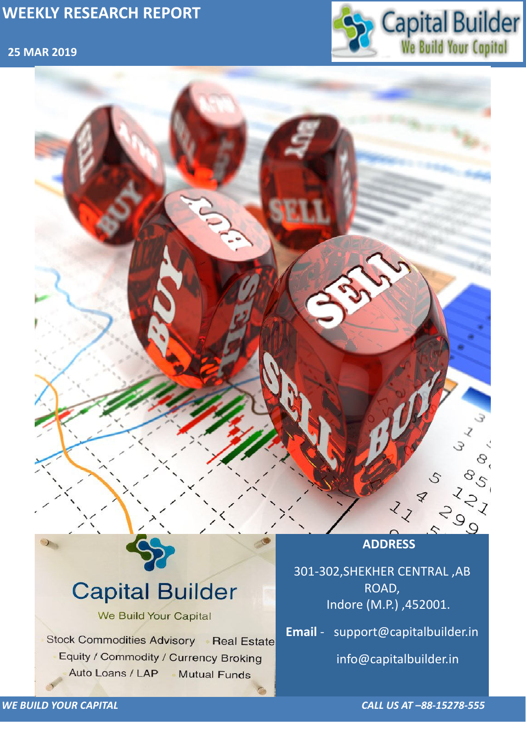## **25 MAR 2019**



*WE BUILD YOUR CAPITAL CALL US AT –88-15278-555*



# **Capital Builder** We Build Your Capital Stock Commodities Advisory Real Estate Equity / Commodity / Currency Broking Auto Loans / LAP **Mutual Funds**

301-302,SHEKHER CENTRAL ,AB ROAD, Indore (M.P.) ,452001.

**Email** - support@capitalbuilder.in

info@capitalbuilder.in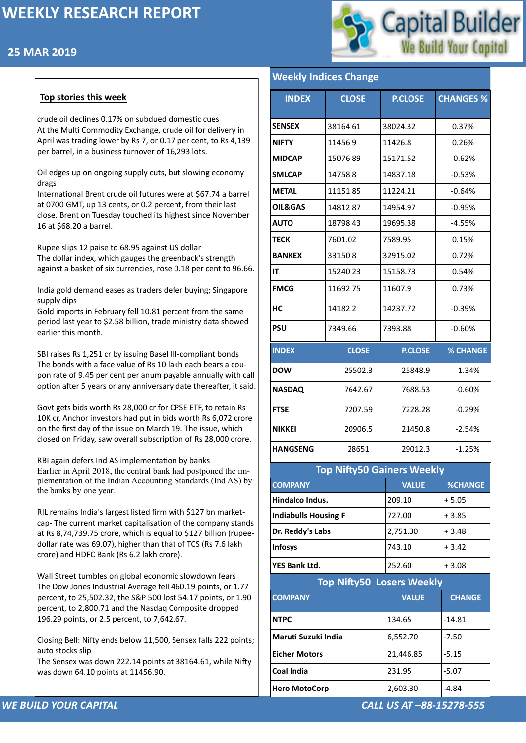## **25 MAR 2019**



#### *WE BUILD YOUR CAPITAL CALL US AT –88-15278-555*

## **Top stories this week**

crude oil declines 0.17% on subdued domestic cues At the Multi Commodity Exchange, crude oil for delivery in April was trading lower by Rs 7, or 0.17 per cent, to Rs 4,139 per barrel, in a business turnover of 16,293 lots.

Oil edges up on ongoing supply cuts, but slowing economy drags

International Brent crude oil futures were at \$67.74 a barrel at 0700 GMT, up 13 cents, or 0.2 percent, from their last close. Brent on Tuesday touched its highest since November 16 at \$68.20 a barrel.

Rupee slips 12 paise to 68.95 against US dollar The dollar index, which gauges the greenback's strength against a basket of six currencies, rose 0.18 per cent to 96.66.

India gold demand eases as traders defer buying; Singapore supply dips

Gold imports in February fell 10.81 percent from the same period last year to \$2.58 billion, trade ministry data showed earlier this month.

SBI raises Rs 1,251 cr by issuing Basel III-compliant bonds The bonds with a face value of Rs 10 lakh each bears a coupon rate of 9.45 per cent per anum payable annually with call option after 5 years or any anniversary date thereafter, it said.

Govt gets bids worth Rs 28,000 cr for CPSE ETF, to retain Rs 10K cr, Anchor investors had put in bids worth Rs 6,072 crore on the first day of the issue on March 19. The issue, which closed on Friday, saw overall subscription of Rs 28,000 crore.

RBI again defers Ind AS implementation by banks Earlier in April 2018, the central bank had postponed the implementation of the Indian Accounting Standards (Ind AS) by the banks by one year.

RIL remains India's largest listed firm with \$127 bn marketcap- The current market capitalisation of the company stands at Rs 8,74,739.75 crore, which is equal to \$127 billion (rupeedollar rate was 69.07), higher than that of TCS (Rs 7.6 lakh crore) and HDFC Bank (Rs 6.2 lakh crore).

Wall Street tumbles on global economic slowdown fears The Dow Jones Industrial Average fell 460.19 points, or 1.77 percent, to 25,502.32, the S&P 500 lost 54.17 points, or 1.90 percent, to 2,800.71 and the Nasdaq Composite dropped 196.29 points, or 2.5 percent, to 7,642.67.

Closing Bell: Nifty ends below 11,500, Sensex falls 222 points; auto stocks slip

The Sensex was down 222.14 points at 38164.61, while Nifty was down 64.10 points at 11456.90.

| <b>Weekly Indices Change</b> |  |
|------------------------------|--|
|                              |  |

| <b>INDEX</b>                      | <b>CLOSE</b> | <b>P.CLOSE</b> | <b>CHANGES %</b> |  |  |  |
|-----------------------------------|--------------|----------------|------------------|--|--|--|
| <b>SENSEX</b>                     | 38164.61     | 38024.32       | 0.37%            |  |  |  |
| <b>NIFTY</b>                      | 11456.9      | 11426.8        | 0.26%            |  |  |  |
| <b>MIDCAP</b>                     | 15076.89     | 15171.52       | $-0.62%$         |  |  |  |
| <b>SMLCAP</b>                     | 14758.8      | 14837.18       | $-0.53%$         |  |  |  |
| <b>METAL</b>                      | 11151.85     | 11224.21       | $-0.64%$         |  |  |  |
| <b>OIL&amp;GAS</b>                | 14812.87     | 14954.97       | $-0.95%$         |  |  |  |
| <b>AUTO</b>                       | 18798.43     | 19695.38       | $-4.55%$         |  |  |  |
| <b>TECK</b>                       | 7601.02      | 7589.95        | 0.15%            |  |  |  |
| <b>BANKEX</b>                     | 33150.8      | 32915.02       | 0.72%            |  |  |  |
| IT                                | 15240.23     | 15158.73       | 0.54%            |  |  |  |
| <b>FMCG</b>                       | 11692.75     | 11607.9        | 0.73%            |  |  |  |
| <b>HC</b>                         | 14182.2      | 14237.72       | $-0.39%$         |  |  |  |
| <b>PSU</b>                        | 7349.66      | 7393.88        | $-0.60%$         |  |  |  |
| <b>INDEX</b>                      | <b>CLOSE</b> | <b>P.CLOSE</b> | <b>% CHANGE</b>  |  |  |  |
| <b>DOW</b>                        | 25502.3      | 25848.9        | $-1.34%$         |  |  |  |
| <b>NASDAQ</b>                     | 7642.67      | 7688.53        | $-0.60%$         |  |  |  |
| <b>FTSE</b>                       | 7207.59      | 7228.28        | $-0.29%$         |  |  |  |
| <b>NIKKEI</b>                     | 20906.5      | 21450.8        | $-2.54%$         |  |  |  |
| <b>HANGSENG</b>                   | 28651        | 29012.3        | $-1.25%$         |  |  |  |
| <b>Top Nifty50 Gainers Weekly</b> |              |                |                  |  |  |  |
| <b>COMPANY</b>                    |              | <b>VALUE</b>   | <b>%CHANGE</b>   |  |  |  |
| Hindalco Indus.                   |              | 209.10         | $+5.05$          |  |  |  |
| <b>Indiabulls Housing F</b>       |              | 727.00         | $+3.85$          |  |  |  |
| Dr. Reddy's Labs                  |              | 2,751.30       | $+3.48$          |  |  |  |
| <b>Infosys</b>                    |              | 743.10         | $+3.42$          |  |  |  |

| <b>YES Bank Ltd.</b>             | 252.60       | $+3.08$       |  |  |  |
|----------------------------------|--------------|---------------|--|--|--|
| <b>Top Nifty50 Losers Weekly</b> |              |               |  |  |  |
| <b>COMPANY</b>                   | <b>VALUE</b> | <b>CHANGE</b> |  |  |  |
| <b>NTPC</b>                      | 134.65       | $-14.81$      |  |  |  |
| Maruti Suzuki India              | 6,552.70     | $-7.50$       |  |  |  |
| <b>Eicher Motors</b>             | 21,446.85    | $-5.15$       |  |  |  |
| <b>Coal India</b>                | 231.95       | $-5.07$       |  |  |  |
| <b>Hero MotoCorp</b>             | 2,603.30     | $-4.84$       |  |  |  |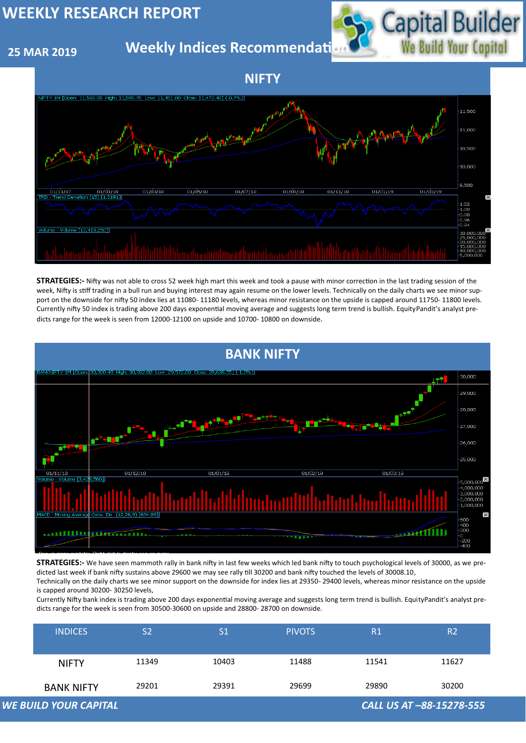## **25 MAR 2019**

## **Weekly Indices Recommendati**



| <b>WE BUILD YOUR CAPITAL</b><br>CALL US AT -88-15278-555 |                   |       |               |               |       |                |
|----------------------------------------------------------|-------------------|-------|---------------|---------------|-------|----------------|
|                                                          | <b>BANK NIFTY</b> | 29201 | 29391         | 29699         | 29890 | 30200          |
|                                                          | <b>NIFTY</b>      | 11349 | 10403         | 11488         | 11541 | 11627          |
|                                                          | <b>INDICES</b>    | S2    | $\mathsf{S}1$ | <b>PIVOTS</b> | R1    | R <sub>2</sub> |





**STRATEGIES:-** Nifty was not able to cross 52 week high mart this week and took a pause with minor correction in the last trading session of the week, Nifty is stiff trading in a bull run and buying interest may again resume on the lower levels. Technically on the daily charts we see minor support on the downside for nifty 50 index lies at 11080- 11180 levels, whereas minor resistance on the upside is capped around 11750- 11800 levels. Currently nifty 50 index is trading above 200 days exponential moving average and suggests long term trend is bullish. EquityPandit's analyst predicts range for the week is seen from 12000-12100 on upside and 10700- 10800 on downside.

**STRATEGIES:-** We have seen mammoth rally in bank nifty in last few weeks which led bank nifty to touch psychological levels of 30000, as we predicted last week if bank nifty sustains above 29600 we may see rally till 30200 and bank nifty touched the levels of 30008.10,

Technically on the daily charts we see minor support on the downside for index lies at 29350- 29400 levels, whereas minor resistance on the upside is capped around 30200- 30250 levels,

Currently Nifty bank index is trading above 200 days exponential moving average and suggests long term trend is bullish. EquityPandit's analyst predicts range for the week is seen from 30500-30600 on upside and 28800- 28700 on downside.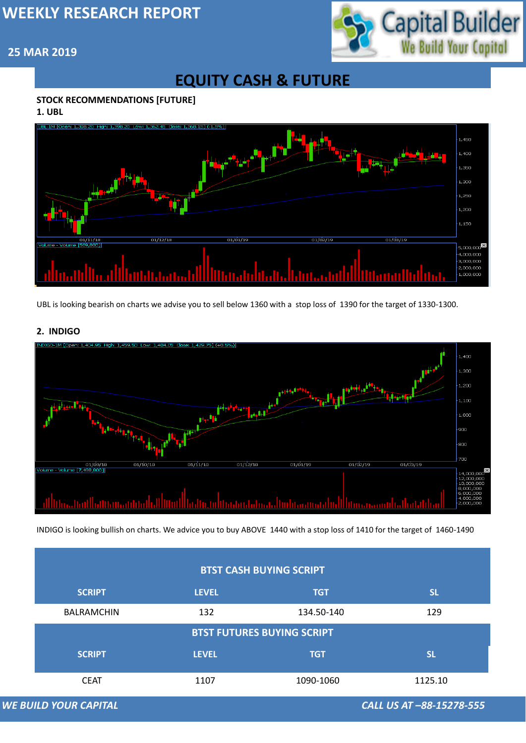

## **25 MAR 2019**

## **EQUITY CASH & FUTURE**

## **STOCK RECOMMENDATIONS [FUTURE]**

**1. UBL**



#### **2. INDIGO**



## **BTST CASH BUYING SCRIPT**

UBL is looking bearish on charts we advise you to sell below 1360 with a stop loss of 1390 for the target of 1330-1300.

|                                   | <b>SCRIPT</b>                | <b>LEVEL</b> | <b>TGT</b> | <b>SL</b>                |  |  |
|-----------------------------------|------------------------------|--------------|------------|--------------------------|--|--|
|                                   | <b>BALRAMCHIN</b>            | 132          | 134.50-140 | 129                      |  |  |
| <b>BTST FUTURES BUYING SCRIPT</b> |                              |              |            |                          |  |  |
|                                   | <b>SCRIPT</b>                | <b>LEVEL</b> | <b>TGT</b> | <b>SL</b>                |  |  |
|                                   | <b>CEAT</b>                  | 1107         | 1090-1060  | 1125.10                  |  |  |
|                                   | <b>WE BUILD YOUR CAPITAL</b> |              |            | CALL US AT -88-15278-555 |  |  |

INDIGO is looking bullish on charts. We advice you to buy ABOVE 1440 with a stop loss of 1410 for the target of 1460-1490